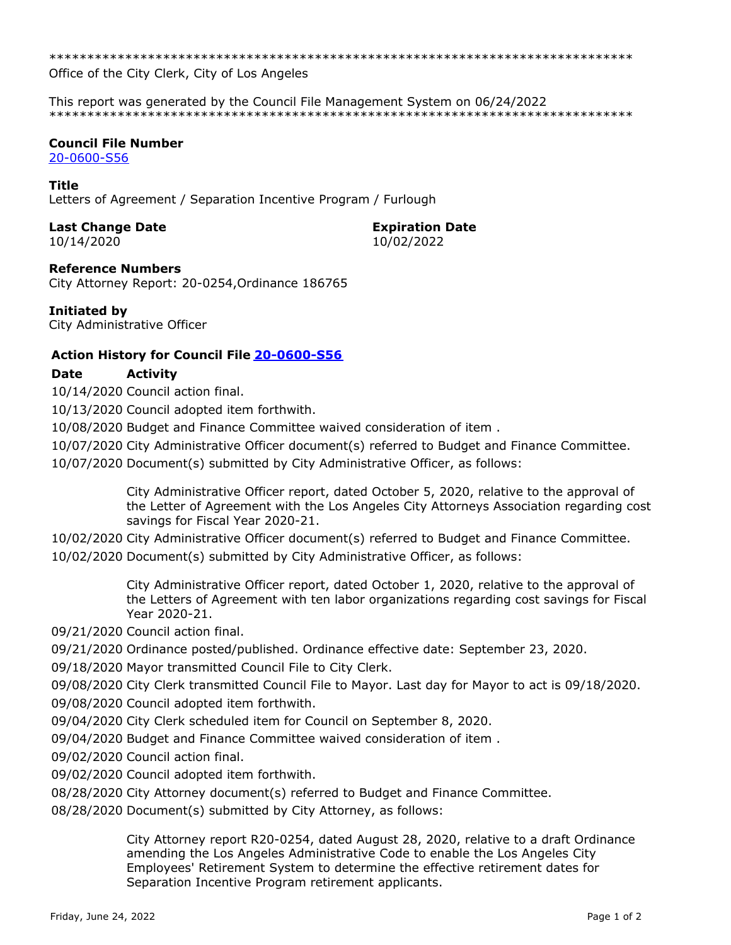\*\*\*\*\*\*\*\*\*\*\*\*\*\*\*\*\*\*\*\*\*\*\*\*\*\*\*\*\*\*\*\*\*\*\*\*\*\*\*\*\*\*\*\*\*\*\*\*\*\*\*\*\*\*\*\*\*\*\*\*\*\*\*\*\*\*\*\*\*\*\*\*\*\*\*\*\*

Office of the City Clerk, City of Los Angeles

This report was generated by the Council File Management System on 06/24/2022 \*\*\*\*\*\*\*\*\*\*\*\*\*\*\*\*\*\*\*\*\*\*\*\*\*\*\*\*\*\*\*\*\*\*\*\*\*\*\*\*\*\*\*\*\*\*\*\*\*\*\*\*\*\*\*\*\*\*\*\*\*\*\*\*\*\*\*\*\*\*\*\*\*\*\*\*\*

### **Council File Number**

[20-0600-S56](https://cityclerk.lacity.org/lacityclerkconnect/index.cfm?fa=ccfi.viewrecord&cfnumber=20-0600-S56)

### **Title**

Letters of Agreement / Separation Incentive Program / Furlough

## **Last Change Date Expiration Date**

10/14/2020 10/02/2022

**Reference Numbers**

City Attorney Report: 20-0254,Ordinance 186765

## **Initiated by**

City Administrative Officer

## **Action History for Council File [20-0600-S56](https://cityclerk.lacity.org/lacityclerkconnect/index.cfm?fa=ccfi.viewrecord&cfnumber=20-0600-S56)**

# **Date Activity**

10/14/2020 Council action final.

10/13/2020 Council adopted item forthwith.

10/08/2020 Budget and Finance Committee waived consideration of item .

10/07/2020 City Administrative Officer document(s) referred to Budget and Finance Committee.

10/07/2020 Document(s) submitted by City Administrative Officer, as follows:

City Administrative Officer report, dated October 5, 2020, relative to the approval of the Letter of Agreement with the Los Angeles City Attorneys Association regarding cost savings for Fiscal Year 2020-21.

10/02/2020 City Administrative Officer document(s) referred to Budget and Finance Committee.

10/02/2020 Document(s) submitted by City Administrative Officer, as follows:

City Administrative Officer report, dated October 1, 2020, relative to the approval of the Letters of Agreement with ten labor organizations regarding cost savings for Fiscal Year 2020-21.

09/21/2020 Council action final.

09/21/2020 Ordinance posted/published. Ordinance effective date: September 23, 2020.

09/18/2020 Mayor transmitted Council File to City Clerk.

09/08/2020 City Clerk transmitted Council File to Mayor. Last day for Mayor to act is 09/18/2020.

09/08/2020 Council adopted item forthwith.

09/04/2020 City Clerk scheduled item for Council on September 8, 2020.

09/04/2020 Budget and Finance Committee waived consideration of item .

09/02/2020 Council action final.

09/02/2020 Council adopted item forthwith.

08/28/2020 City Attorney document(s) referred to Budget and Finance Committee.

08/28/2020 Document(s) submitted by City Attorney, as follows:

City Attorney report R20-0254, dated August 28, 2020, relative to a draft Ordinance amending the Los Angeles Administrative Code to enable the Los Angeles City Employees' Retirement System to determine the effective retirement dates for Separation Incentive Program retirement applicants.